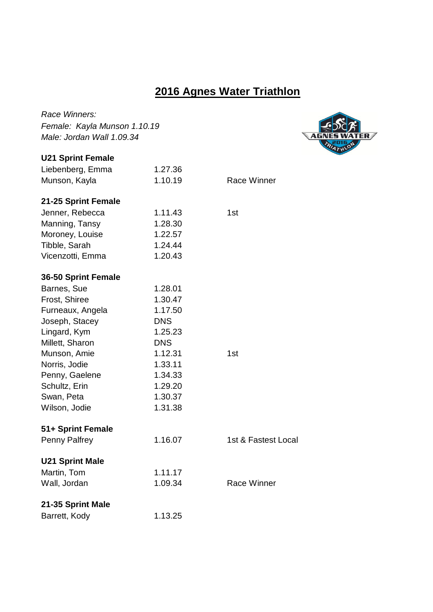## **2016 Agnes Water Triathlon**

 $M$ ER $\neq$ 

| Race Winners:                |            |                     |
|------------------------------|------------|---------------------|
| Female: Kayla Munson 1.10.19 |            |                     |
| Male: Jordan Wall 1.09.34    |            |                     |
| <b>U21 Sprint Female</b>     |            |                     |
| Liebenberg, Emma             | 1.27.36    |                     |
| Munson, Kayla                | 1.10.19    | Race Winner         |
| 21-25 Sprint Female          |            |                     |
| Jenner, Rebecca              | 1.11.43    | 1st                 |
| Manning, Tansy               | 1.28.30    |                     |
| Moroney, Louise              | 1.22.57    |                     |
| Tibble, Sarah                | 1.24.44    |                     |
| Vicenzotti, Emma             | 1.20.43    |                     |
| 36-50 Sprint Female          |            |                     |
| Barnes, Sue                  | 1.28.01    |                     |
| Frost, Shiree                | 1.30.47    |                     |
| Furneaux, Angela             | 1.17.50    |                     |
| Joseph, Stacey               | <b>DNS</b> |                     |
| Lingard, Kym                 | 1.25.23    |                     |
| Millett, Sharon              | <b>DNS</b> |                     |
| Munson, Amie                 | 1.12.31    | 1st                 |
| Norris, Jodie                | 1.33.11    |                     |
| Penny, Gaelene               | 1.34.33    |                     |
| Schultz, Erin                | 1.29.20    |                     |
| Swan, Peta                   | 1.30.37    |                     |
| Wilson, Jodie                | 1.31.38    |                     |
| 51+ Sprint Female            |            |                     |
| Penny Palfrey                | 1.16.07    | 1st & Fastest Local |
| <b>U21 Sprint Male</b>       |            |                     |
| Martin, Tom                  | 1.11.17    |                     |
| Wall, Jordan                 | 1.09.34    | <b>Race Winner</b>  |
| 21-35 Sprint Male            |            |                     |
| Barrett, Kody                | 1.13.25    |                     |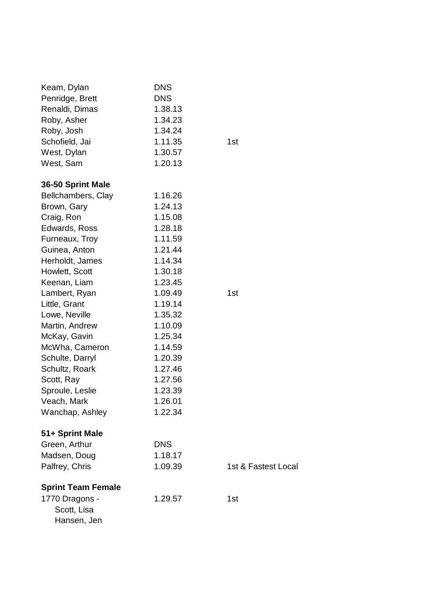| <b>DNS</b> |                     |
|------------|---------------------|
|            |                     |
| 1.38.13    |                     |
| 1.34.23    |                     |
| 1.34.24    |                     |
| 1.11.35    | 1st                 |
| 1.30.57    |                     |
| 1.20.13    |                     |
|            |                     |
| 1.16.26    |                     |
| 1.24.13    |                     |
| 1.15.08    |                     |
| 1.28.18    |                     |
| 1.11.59    |                     |
| 1.21.44    |                     |
| 1.14.34    |                     |
| 1.30.18    |                     |
| 1.23.45    |                     |
| 1.09.49    | 1st                 |
| 1.19.14    |                     |
| 1.35.32    |                     |
| 1.10.09    |                     |
| 1.25.34    |                     |
| 1.14.59    |                     |
| 1.20.39    |                     |
| 1.27.46    |                     |
| 1.27.56    |                     |
| 1.23.39    |                     |
| 1.26.01    |                     |
|            |                     |
|            |                     |
| <b>DNS</b> |                     |
| 1.18.17    |                     |
| 1.09.39    | 1st & Fastest Local |
|            |                     |
| 1.29.57    | 1st                 |
|            |                     |
|            |                     |
|            | 1.22.34             |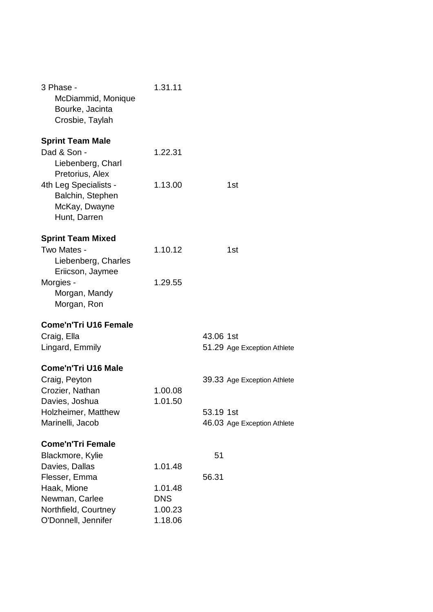| 3 Phase -<br>McDiammid, Monique<br>Bourke, Jacinta<br>Crosbie, Taylah          | 1.31.11            |                             |
|--------------------------------------------------------------------------------|--------------------|-----------------------------|
| <b>Sprint Team Male</b><br>Dad & Son -<br>Liebenberg, Charl<br>Pretorius, Alex | 1.22.31            |                             |
| 4th Leg Specialists -<br>Balchin, Stephen<br>McKay, Dwayne<br>Hunt, Darren     | 1.13.00            | 1st                         |
| <b>Sprint Team Mixed</b>                                                       |                    |                             |
| Two Mates -<br>Liebenberg, Charles<br>Eriicson, Jaymee                         | 1.10.12            | 1st                         |
| Morgies -<br>Morgan, Mandy<br>Morgan, Ron                                      | 1.29.55            |                             |
| <b>Come'n'Tri U16 Female</b>                                                   |                    |                             |
| Craig, Ella                                                                    |                    | 43.06 1st                   |
| Lingard, Emmily                                                                |                    | 51.29 Age Exception Athlete |
| <b>Come'n'Tri U16 Male</b>                                                     |                    |                             |
| Craig, Peyton                                                                  |                    | 39.33 Age Exception Athlete |
| Crozier, Nathan<br>Davies, Joshua                                              | 1.00.08<br>1.01.50 |                             |
| Holzheimer, Matthew                                                            |                    | 53.19 1st                   |
| Marinelli, Jacob                                                               |                    | 46.03 Age Exception Athlete |
| <b>Come'n'Tri Female</b>                                                       |                    |                             |
| Blackmore, Kylie                                                               |                    | 51                          |
| Davies, Dallas                                                                 | 1.01.48            |                             |
| Flesser, Emma<br>Haak, Mione                                                   | 1.01.48            | 56.31                       |
| Newman, Carlee                                                                 | <b>DNS</b>         |                             |
| Northfield, Courtney                                                           | 1.00.23            |                             |
| O'Donnell, Jennifer                                                            | 1.18.06            |                             |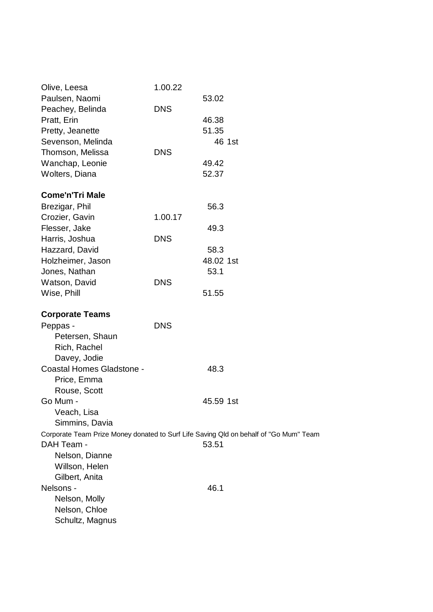| Olive, Leesa                     | 1.00.22    |                                                                                       |
|----------------------------------|------------|---------------------------------------------------------------------------------------|
| Paulsen, Naomi                   |            | 53.02                                                                                 |
| Peachey, Belinda                 | <b>DNS</b> |                                                                                       |
| Pratt, Erin                      |            | 46.38                                                                                 |
| Pretty, Jeanette                 |            | 51.35                                                                                 |
| Sevenson, Melinda                |            | 46 1st                                                                                |
| Thomson, Melissa                 | <b>DNS</b> |                                                                                       |
| Wanchap, Leonie                  |            | 49.42                                                                                 |
| Wolters, Diana                   |            | 52.37                                                                                 |
| <b>Come'n'Tri Male</b>           |            |                                                                                       |
| Brezigar, Phil                   |            | 56.3                                                                                  |
| Crozier, Gavin                   | 1.00.17    |                                                                                       |
| Flesser, Jake                    |            | 49.3                                                                                  |
| Harris, Joshua                   | <b>DNS</b> |                                                                                       |
| Hazzard, David                   |            | 58.3                                                                                  |
| Holzheimer, Jason                |            | 48.02 1st                                                                             |
| Jones, Nathan                    |            | 53.1                                                                                  |
| Watson, David                    | <b>DNS</b> |                                                                                       |
| Wise, Phill                      |            | 51.55                                                                                 |
| <b>Corporate Teams</b>           |            |                                                                                       |
| Peppas -                         | <b>DNS</b> |                                                                                       |
| Petersen, Shaun                  |            |                                                                                       |
| Rich, Rachel                     |            |                                                                                       |
| Davey, Jodie                     |            |                                                                                       |
| <b>Coastal Homes Gladstone -</b> |            | 48.3                                                                                  |
| Price, Emma                      |            |                                                                                       |
| Rouse, Scott                     |            |                                                                                       |
| Go Mum -                         |            | 45.59 1st                                                                             |
| Veach, Lisa                      |            |                                                                                       |
| Simmins, Davia                   |            |                                                                                       |
|                                  |            | Corporate Team Prize Money donated to Surf Life Saving Qld on behalf of "Go Mum" Team |
| DAH Team -                       |            | 53.51                                                                                 |
| Nelson, Dianne                   |            |                                                                                       |
| Willson, Helen                   |            |                                                                                       |
| Gilbert, Anita                   |            |                                                                                       |
| Nelsons -                        |            | 46.1                                                                                  |
| Nelson, Molly                    |            |                                                                                       |
| Nelson, Chloe                    |            |                                                                                       |
| Schultz, Magnus                  |            |                                                                                       |